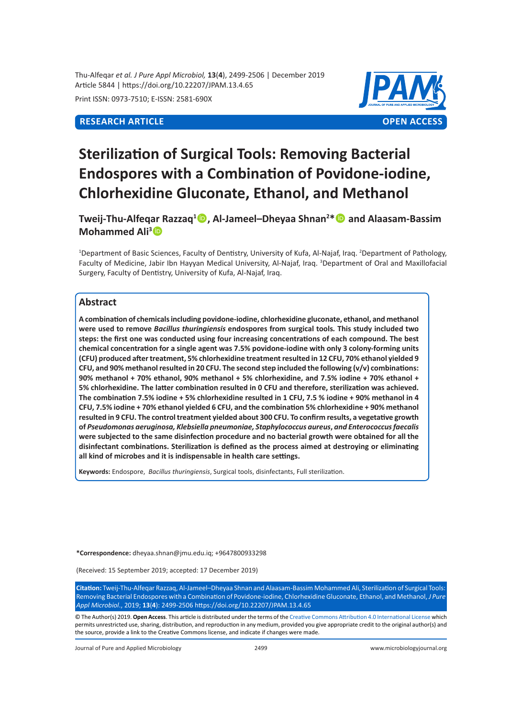Thu-Alfeqar *et al. J Pure Appl Microbiol,* **13**(**4**), 2499-2506 | December 2019 Article 5844 | https://doi.org/10.22207/JPAM.13.4.65

Print ISSN: 0973-7510; E-ISSN: 2581-690X



# **Sterilization of Surgical Tools: Removing Bacterial Endospores with a Combination of Povidone-iodine, Chlorhexidine Gluconate, Ethanol, and Methanol**

**Tweij-Thu-Alfeqar Razzaq<sup>1</sup> , Al-Jameel–Dheyaa Shnan<sup>2</sup> \* and Alaasam-Bassim Mohammed Ali<sup>3</sup>**

<sup>1</sup>Department of Basic Sciences, Faculty of Dentistry, University of Kufa, Al-Najaf, Iraq. <sup>2</sup>Department of Pathology, Faculty of Medicine, Jabir Ibn Hayyan Medical University, Al-Najaf, Iraq. <sup>3</sup>Department of Oral and Maxillofacial Surgery, Faculty of Dentistry, University of Kufa, Al-Najaf, Iraq.

# **Abstract**

**A combination of chemicals including povidone-iodine, chlorhexidine gluconate, ethanol, and methanol were used to remove** *Bacillus thuringiensis* **endospores from surgical tools***.* **This study included two steps: the first one was conducted using four increasing concentrations of each compound. The best chemical concentration for a single agent was 7.5% povidone-iodine with only 3 colony-forming units (CFU) produced after treatment, 5% chlorhexidine treatment resulted in 12 CFU, 70% ethanol yielded 9 CFU, and 90% methanol resulted in 20 CFU. The second step included the following (v/v) combinations: 90% methanol + 70% ethanol, 90% methanol + 5% chlorhexidine, and 7.5% iodine + 70% ethanol + 5% chlorhexidine. The latter combination resulted in 0 CFU and therefore, sterilization was achieved. The combination 7.5% iodine + 5% chlorhexidine resulted in 1 CFU, 7.5 % iodine + 90% methanol in 4 CFU, 7.5% iodine + 70% ethanol yielded 6 CFU, and the combination 5% chlorhexidine + 90% methanol resulted in 9 CFU. The control treatment yielded about 300 CFU. To confirm results, a vegetative growth of** *Pseudomonas aeruginosa, Klebsiella pneumoniae, Staphylococcus aureus***,** *and Enterococcus faecalis* **were subjected to the same disinfection procedure and no bacterial growth were obtained for all the disinfectant combinations. Sterilization is defined as the process aimed at destroying or eliminating all kind of microbes and it is indispensable in health care settings.** 

**Keywords:** Endospore, *Bacillus thuringiensis*, Surgical tools, disinfectants, Full sterilization.

**\*Correspondence:** dheyaa.shnan@jmu.edu.iq; +9647800933298

(Received: 15 September 2019; accepted: 17 December 2019)

**Citation:** Tweij-Thu-Alfeqar Razzaq, Al-Jameel–Dheyaa Shnan and Alaasam-Bassim Mohammed Ali, Sterilization of Surgical Tools: Removing Bacterial Endospores with a Combination of Povidone-iodine, Chlorhexidine Gluconate, Ethanol, and Methanol, *J Pure Appl Microbiol*., 2019; **13**(**4**): 2499-2506 https://doi.org/10.22207/JPAM.13.4.65

© The Author(s) 2019. **Open Access**. This article is distributed under the terms of the [Creative Commons Attribution 4.0 International License](https://creativecommons.org/licenses/by/4.0/) which permits unrestricted use, sharing, distribution, and reproduction in any medium, provided you give appropriate credit to the original author(s) and the source, provide a link to the Creative Commons license, and indicate if changes were made.

Journal of Pure and Applied Microbiology 2499 www.microbiologyjournal.org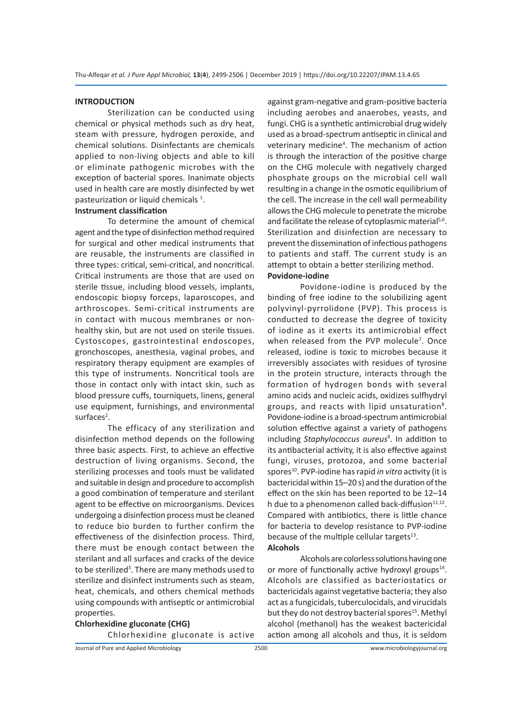### **INTRODUCTION**

Sterilization can be conducted using chemical or physical methods such as dry heat, steam with pressure, hydrogen peroxide, and chemical solutions. Disinfectants are chemicals applied to non-living objects and able to kill or eliminate pathogenic microbes with the exception of bacterial spores. Inanimate objects used in health care are mostly disinfected by wet pasteurization or liquid chemicals<sup>1</sup>.

# **Instrument classification**

To determine the amount of chemical agent and the type of disinfection method required for surgical and other medical instruments that are reusable, the instruments are classified in three types: critical, semi-critical, and noncritical. Critical instruments are those that are used on sterile tissue, including blood vessels, implants, endoscopic biopsy forceps, laparoscopes, and arthroscopes. Semi-critical instruments are in contact with mucous membranes or nonhealthy skin, but are not used on sterile tissues. Cystoscopes, gastrointestinal endoscopes, gronchoscopes, anesthesia, vaginal probes, and respiratory therapy equipment are examples of this type of instruments. Noncritical tools are those in contact only with intact skin, such as blood pressure cuffs, tourniquets, linens, general use equipment, furnishings, and environmental surfaces<sup>2</sup>.

The efficacy of any sterilization and disinfection method depends on the following three basic aspects. First, to achieve an effective destruction of living organisms. Second, the sterilizing processes and tools must be validated and suitable in design and procedure to accomplish a good combination of temperature and sterilant agent to be effective on microorganisms. Devices undergoing a disinfection process must be cleaned to reduce bio burden to further confirm the effectiveness of the disinfection process. Third, there must be enough contact between the sterilant and all surfaces and cracks of the device to be sterilized<sup>3</sup>. There are many methods used to sterilize and disinfect instruments such as steam, heat, chemicals, and others chemical methods using compounds with antiseptic or antimicrobial properties.

**Chlorhexidine gluconate (CHG)**  Chlorhexidine gluconate is active against gram-negative and gram-positive bacteria including aerobes and anaerobes, yeasts, and fungi. CHG is a synthetic antimicrobial drug widely used as a broad-spectrum antiseptic in clinical and veterinary medicine<sup>4</sup>. The mechanism of action is through the interaction of the positive charge on the CHG molecule with negatively charged phosphate groups on the microbial cell wall resulting in a change in the osmotic equilibrium of the cell. The increase in the cell wall permeability allows the CHG molecule to penetrate the microbe and facilitate the release of cytoplasmic material<sup>5,6</sup>. Sterilization and disinfection are necessary to prevent the dissemination of infectious pathogens to patients and staff. The current study is an attempt to obtain a better sterilizing method.

# **Povidone-iodine**

Povidone-iodine is produced by the binding of free iodine to the solubilizing agent polyvinyl-pyrrolidone (PVP). This process is conducted to decrease the degree of toxicity of iodine as it exerts its antimicrobial effect when released from the PVP molecule<sup>7</sup>. Once released, iodine is toxic to microbes because it irreversibly associates with residues of tyrosine in the protein structure, interacts through the formation of hydrogen bonds with several amino acids and nucleic acids, oxidizes sulfhydryl groups, and reacts with lipid unsaturation<sup>8</sup>. Povidone-iodine is a broad-spectrum antimicrobial solution effective against a variety of pathogens including *Staphylococcus aureus*<sup>9</sup> . In addition to its antibacterial activity, it is also effective against fungi, viruses, protozoa, and some bacterial spores<sup>10</sup>. PVP-iodine has rapid *in vitro* activity (it is bactericidal within 15–20 s) and the duration of the effect on the skin has been reported to be 12–14 h due to a phenomenon called back-diffusion $11,12$ . Compared with antibiotics, there is little chance for bacteria to develop resistance to PVP-iodine because of the multiple cellular targets $^{13}$ . **Alcohols**

Alcohols are colorless solutions having one or more of functionally active hydroxyl groups $14$ . Alcohols are classified as bacteriostatics or bactericidals against vegetative bacteria; they also act as a fungicidals, tuberculocidals, and virucidals but they do not destroy bacterial spores<sup>15</sup>. Methyl alcohol (methanol) has the weakest bactericidal action among all alcohols and thus, it is seldom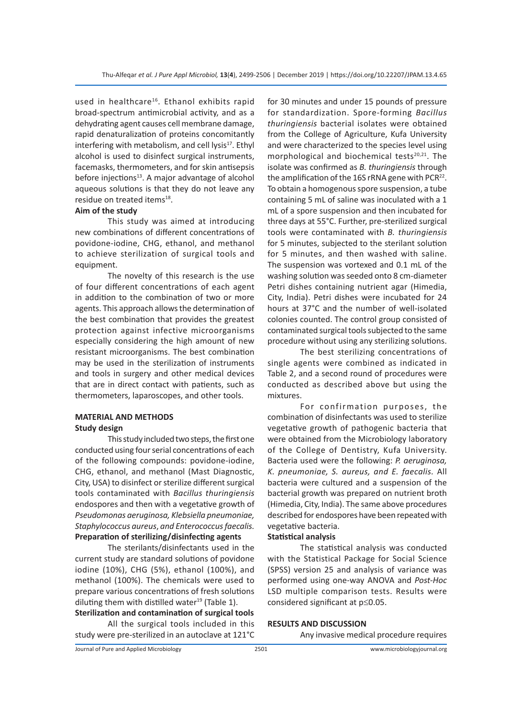used in healthcare<sup>16</sup>. Ethanol exhibits rapid broad-spectrum antimicrobial activity, and as a dehydrating agent causes cell membrane damage, rapid denaturalization of proteins concomitantly interfering with metabolism, and cell lysis $17$ . Ethyl alcohol is used to disinfect surgical instruments, facemasks, thermometers, and for skin antisepsis before injections<sup>13</sup>. A major advantage of alcohol aqueous solutions is that they do not leave any residue on treated items<sup>18</sup>.

# **Aim of the study**

This study was aimed at introducing new combinations of different concentrations of povidone-iodine, CHG, ethanol, and methanol to achieve sterilization of surgical tools and equipment.

The novelty of this research is the use of four different concentrations of each agent in addition to the combination of two or more agents. This approach allows the determination of the best combination that provides the greatest protection against infective microorganisms especially considering the high amount of new resistant microorganisms. The best combination may be used in the sterilization of instruments and tools in surgery and other medical devices that are in direct contact with patients, such as thermometers, laparoscopes, and other tools.

# **MATERIAL AND METHODS Study design**

This study included two steps, the first one conducted using four serial concentrations of each of the following compounds: povidone-iodine, CHG, ethanol, and methanol (Mast Diagnostic, City, USA) to disinfect or sterilize different surgical tools contaminated with *Bacillus thuringiensis* endospores and then with a vegetative growth of *Pseudomonas aeruginosa, Klebsiella pneumoniae, Staphylococcus aureus*, *and Enterococcus faecalis.* **Preparation of sterilizing/disinfecting agents**

The sterilants/disinfectants used in the current study are standard solutions of povidone iodine (10%), CHG (5%), ethanol (100%), and methanol (100%). The chemicals were used to prepare various concentrations of fresh solutions diluting them with distilled water $^{19}$  (Table 1).

**Sterilization and contamination of surgical tools** All the surgical tools included in this study were pre-sterilized in an autoclave at 121°C for 30 minutes and under 15 pounds of pressure for standardization. Spore-forming *Bacillus thuringiensis* bacterial isolates were obtained from the College of Agriculture, Kufa University and were characterized to the species level using morphological and biochemical tests $20,21$ . The isolate was confirmed as *B. thuringiensis* through the amplification of the 16S rRNA gene with PCR $^{22}$ . To obtain a homogenous spore suspension, a tube containing 5 mL of saline was inoculated with a 1 mL of a spore suspension and then incubated for three days at 55°C. Further, pre-sterilized surgical tools were contaminated with *B. thuringiensis*  for 5 minutes, subjected to the sterilant solution for 5 minutes, and then washed with saline. The suspension was vortexed and 0.1 mL of the washing solution was seeded onto 8 cm-diameter Petri dishes containing nutrient agar (Himedia, City, India). Petri dishes were incubated for 24 hours at 37°C and the number of well-isolated colonies counted. The control group consisted of contaminated surgical tools subjected to the same procedure without using any sterilizing solutions.

The best sterilizing concentrations of single agents were combined as indicated in Table 2, and a second round of procedures were conducted as described above but using the mixtures.

For confirmation purposes, the combination of disinfectants was used to sterilize vegetative growth of pathogenic bacteria that were obtained from the Microbiology laboratory of the College of Dentistry, Kufa University. Bacteria used were the following: *P. aeruginosa, K. pneumoniae, S. aureus, and E. faecalis.* All bacteria were cultured and a suspension of the bacterial growth was prepared on nutrient broth (Himedia, City, India). The same above procedures described for endospores have been repeated with vegetative bacteria.

#### **Statistical analysis**

The statistical analysis was conducted with the Statistical Package for Social Science (SPSS) version 25 and analysis of variance was performed using one-way ANOVA and *Post-Hoc* LSD multiple comparison tests. Results were considered significant at p≤0.05.

#### **RESULTS AND DISCUSSION**

Any invasive medical procedure requires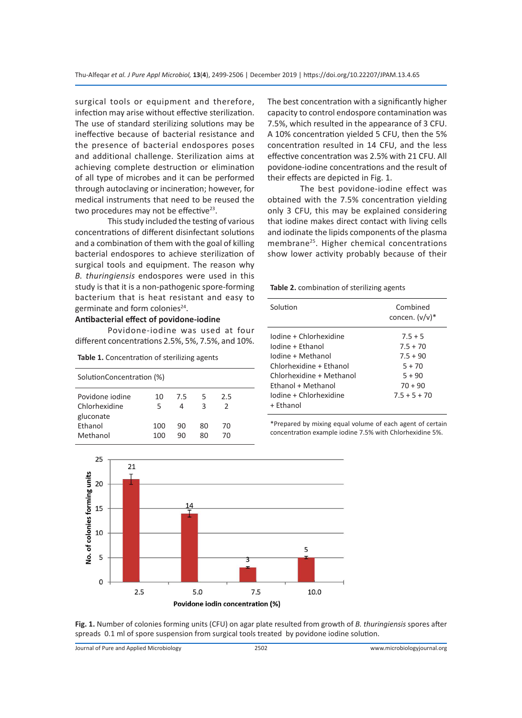surgical tools or equipment and therefore, infection may arise without effective sterilization. The use of standard sterilizing solutions may be ineffective because of bacterial resistance and the presence of bacterial endospores poses and additional challenge. Sterilization aims at achieving complete destruction or elimination of all type of microbes and it can be performed through autoclaving or incineration; however, for medical instruments that need to be reused the two procedures may not be effective $23$ .

This study included the testing of various concentrations of different disinfectant solutions and a combination of them with the goal of killing bacterial endospores to achieve sterilization of surgical tools and equipment. The reason why *B. thuringiensis* endospores were used in this study is that it is a non-pathogenic spore-forming bacterium that is heat resistant and easy to germinate and form colonies<sup>24</sup>.

# **Antibacterial effect of povidone-iodine**

Povidone-iodine was used at four different concentrations 2.5%, 5%, 7.5%, and 10%.

**Table 1.** Concentration of sterilizing agents

| SolutionConcentration (%)                     |            |          |          |          |  |
|-----------------------------------------------|------------|----------|----------|----------|--|
| Povidone jodine<br>Chlorhexidine<br>gluconate | 10<br>5    | 7.5<br>4 | 5<br>3   | 2.5<br>2 |  |
| Ethanol<br>Methanol                           | 100<br>100 | 90<br>٩N | 80<br>ጸበ | 70<br>70 |  |

The best concentration with a significantly higher capacity to control endospore contamination was 7.5%, which resulted in the appearance of 3 CFU. A 10% concentration yielded 5 CFU, then the 5% concentration resulted in 14 CFU, and the less effective concentration was 2.5% with 21 CFU. All povidone-iodine concentrations and the result of their effects are depicted in Fig. 1.

The best povidone-iodine effect was obtained with the 7.5% concentration yielding only 3 CFU, this may be explained considering that iodine makes direct contact with living cells and iodinate the lipids components of the plasma membrane<sup>25</sup>. Higher chemical concentrations show lower activity probably because of their

| Table 2. combination of sterilizing agents |  |  |
|--------------------------------------------|--|--|
|--------------------------------------------|--|--|

| Solution                                                                                                                                                                                   | Combined<br>concen. $(v/v)^*$                                                                |
|--------------------------------------------------------------------------------------------------------------------------------------------------------------------------------------------|----------------------------------------------------------------------------------------------|
| Iodine + Chlorhexidine<br>Iodine + Ethanol<br>Iodine + Methanol<br>Chlorhexidine + Ethanol<br>Chlorhexidine + Methanol<br><b>Fthanol + Methanol</b><br>Iodine + Chlorhexidine<br>+ Fthanol | $7.5 + 5$<br>$7.5 + 70$<br>$7.5 + 90$<br>$5 + 70$<br>$5 + 90$<br>$70 + 90$<br>$7.5 + 5 + 70$ |

\*Prepared by mixing equal volume of each agent of certain concentration example iodine 7.5% with Chlorhexidine 5%.



**Fig. 1.** Number of colonies forming units (CFU) on agar plate resulted from growth of *B. thuringiensis* spores after spreads 0.1 ml of spore suspension from surgical tools treated by povidone iodine solution.

Journal of Pure and Applied Microbiology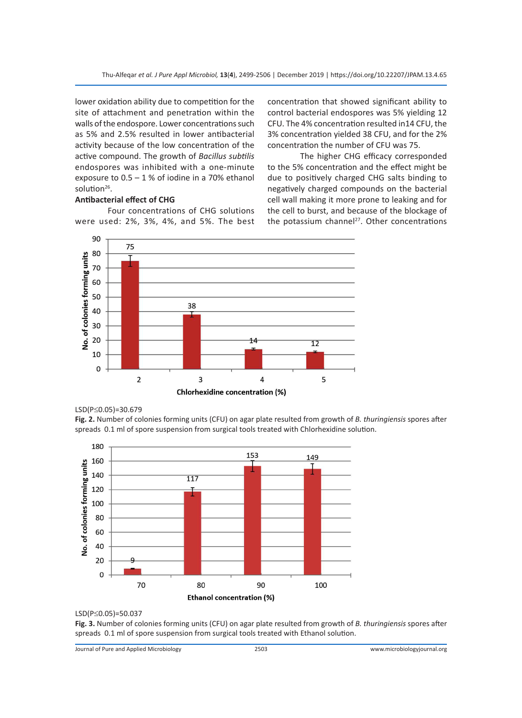lower oxidation ability due to competition for the site of attachment and penetration within the walls of the endospore. Lower concentrations such as 5% and 2.5% resulted in lower antibacterial activity because of the low concentration of the active compound. The growth of *Bacillus subtilis* endospores was inhibited with a one-minute exposure to  $0.5 - 1$  % of iodine in a 70% ethanol solution $26$ .

# **Antibacterial effect of CHG**

Four concentrations of CHG solutions were used: 2%, 3%, 4%, and 5%. The best concentration that showed significant ability to control bacterial endospores was 5% yielding 12 CFU. The 4% concentration resulted in14 CFU, the 3% concentration yielded 38 CFU, and for the 2% concentration the number of CFU was 75.

The higher CHG efficacy corresponded to the 5% concentration and the effect might be due to positively charged CHG salts binding to negatively charged compounds on the bacterial cell wall making it more prone to leaking and for the cell to burst, and because of the blockage of the potassium channel<sup>27</sup>. Other concentrations



### LSD(P≤0.05)=30.679

**Fig. 2.** Number of colonies forming units (CFU) on agar plate resulted from growth of *B. thuringiensis* spores after spreads 0.1 ml of spore suspension from surgical tools treated with Chlorhexidine solution.



#### LSD(P≤0.05)=50.037

**Fig. 3.** Number of colonies forming units (CFU) on agar plate resulted from growth of *B. thuringiensis* spores after spreads 0.1 ml of spore suspension from surgical tools treated with Ethanol solution.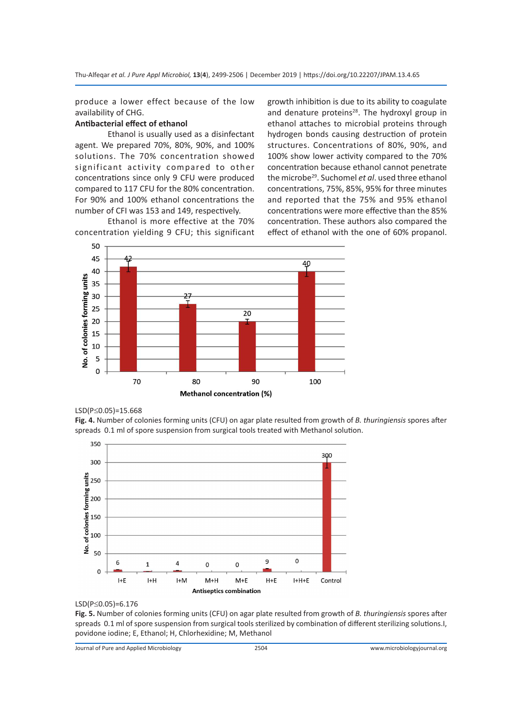produce a lower effect because of the low availability of CHG.

# **Antibacterial effect of ethanol**

Ethanol is usually used as a disinfectant agent. We prepared 70%, 80%, 90%, and 100% solutions. The 70% concentration showed significant activity compared to other concentrations since only 9 CFU were produced compared to 117 CFU for the 80% concentration. For 90% and 100% ethanol concentrations the number of CFI was 153 and 149, respectively.

Ethanol is more effective at the 70% concentration yielding 9 CFU; this significant growth inhibition is due to its ability to coagulate and denature proteins<sup>28</sup>. The hydroxyl group in ethanol attaches to microbial proteins through hydrogen bonds causing destruction of protein structures. Concentrations of 80%, 90%, and 100% show lower activity compared to the 70% concentration because ethanol cannot penetrate the microbe29. Suchomel *et al*. used three ethanol concentrations, 75%, 85%, 95% for three minutes and reported that the 75% and 95% ethanol concentrations were more effective than the 85% concentration. These authors also compared the effect of ethanol with the one of 60% propanol.



### LSD(P≤0.05)=15.668

**Fig. 4.** Number of colonies forming units (CFU) on agar plate resulted from growth of *B. thuringiensis* spores after spreads 0.1 ml of spore suspension from surgical tools treated with Methanol solution.



#### LSD(P≤0.05)=6.176

**Fig. 5.** Number of colonies forming units (CFU) on agar plate resulted from growth of *B. thuringiensis* spores after spreads 0.1 ml of spore suspension from surgical tools sterilized by combination of different sterilizing solutions.I, povidone iodine; E, Ethanol; H, Chlorhexidine; M, Methanol

Journal of Pure and Applied Microbiology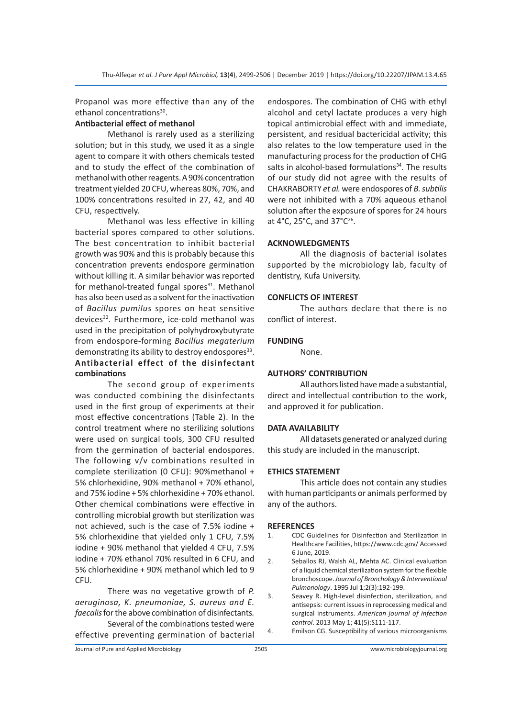Propanol was more effective than any of the ethanol concentrations<sup>30</sup>.

# **Antibacterial effect of methanol**

Methanol is rarely used as a sterilizing solution; but in this study, we used it as a single agent to compare it with others chemicals tested and to study the effect of the combination of methanol with other reagents. A 90% concentration treatment yielded 20 CFU, whereas 80%, 70%, and 100% concentrations resulted in 27, 42, and 40 CFU, respectively.

Methanol was less effective in killing bacterial spores compared to other solutions. The best concentration to inhibit bacterial growth was 90% and this is probably because this concentration prevents endospore germination without killing it. A similar behavior was reported for methanol-treated fungal spores $31$ . Methanol has also been used as a solvent for the inactivation of *Bacillus pumilus* spores on heat sensitive devices<sup>32</sup>. Furthermore, ice-cold methanol was used in the precipitation of polyhydroxybutyrate from endospore-forming *Bacillus megaterium* demonstrating its ability to destroy endospores $33$ . **Antibacterial effect of the disinfectant combinations**

The second group of experiments was conducted combining the disinfectants used in the first group of experiments at their most effective concentrations (Table 2). In the control treatment where no sterilizing solutions were used on surgical tools, 300 CFU resulted from the germination of bacterial endospores. The following v/v combinations resulted in complete sterilization (0 CFU): 90%methanol + 5% chlorhexidine, 90% methanol + 70% ethanol, and 75% iodine + 5% chlorhexidine + 70% ethanol. Other chemical combinations were effective in controlling microbial growth but sterilization was not achieved, such is the case of 7.5% iodine + 5% chlorhexidine that yielded only 1 CFU, 7.5% iodine + 90% methanol that yielded 4 CFU, 7.5% iodine + 70% ethanol 70% resulted in 6 CFU, and 5% chlorhexidine + 90% methanol which led to 9 CFU.

There was no vegetative growth of *P. aeruginosa, K. pneumoniae, S. aureus and E. faecalis* for the above combination of disinfectants*.* Several of the combinations tested were

effective preventing germination of bacterial

endospores. The combination of CHG with ethyl alcohol and cetyl lactate produces a very high topical antimicrobial effect with and immediate, persistent, and residual bactericidal activity; this also relates to the low temperature used in the manufacturing process for the production of CHG salts in alcohol-based formulations $34$ . The results of our study did not agree with the results of CHAKRABORTY *et al.* were endospores of *B. subtilis* were not inhibited with a 70% aqueous ethanol solution after the exposure of spores for 24 hours at 4°C, 25°C, and 37°C26.

### **ACKNOWLEDGMENTS**

All the diagnosis of bacterial isolates supported by the microbiology lab, faculty of dentistry, Kufa University.

#### **CONFLICTS OF INTEREST**

The authors declare that there is no conflict of interest.

### **FUNDING**

None.

# **AUTHORS' CONTRIBUTION**

All authors listed have made a substantial, direct and intellectual contribution to the work, and approved it for publication.

#### **DATA AVAILABILITY**

All datasets generated or analyzed during this study are included in the manuscript.

# **ETHICS STATEMENT**

This article does not contain any studies with human participants or animals performed by any of the authors.

#### **REFERENCES**

- 1. CDC Guidelines for Disinfection and Sterilization in Healthcare Facilities, https://www.cdc.gov/ Accessed 6 June, 2019.
- 2. Seballos RJ, Walsh AL, Mehta AC. Clinical evaluation of a liquid chemical sterilization system for the flexible bronchoscope. *Journal of Bronchology & Interventional Pulmonology*. 1995 Jul **1**;2(3):192-199.
- 3. Seavey R. High-level disinfection, sterilization, and antisepsis: current issues in reprocessing medical and surgical instruments. *American journal of infection control*. 2013 May 1; **41**(5):S111-117.
- 4. Emilson CG. Susceptibility of various microorganisms